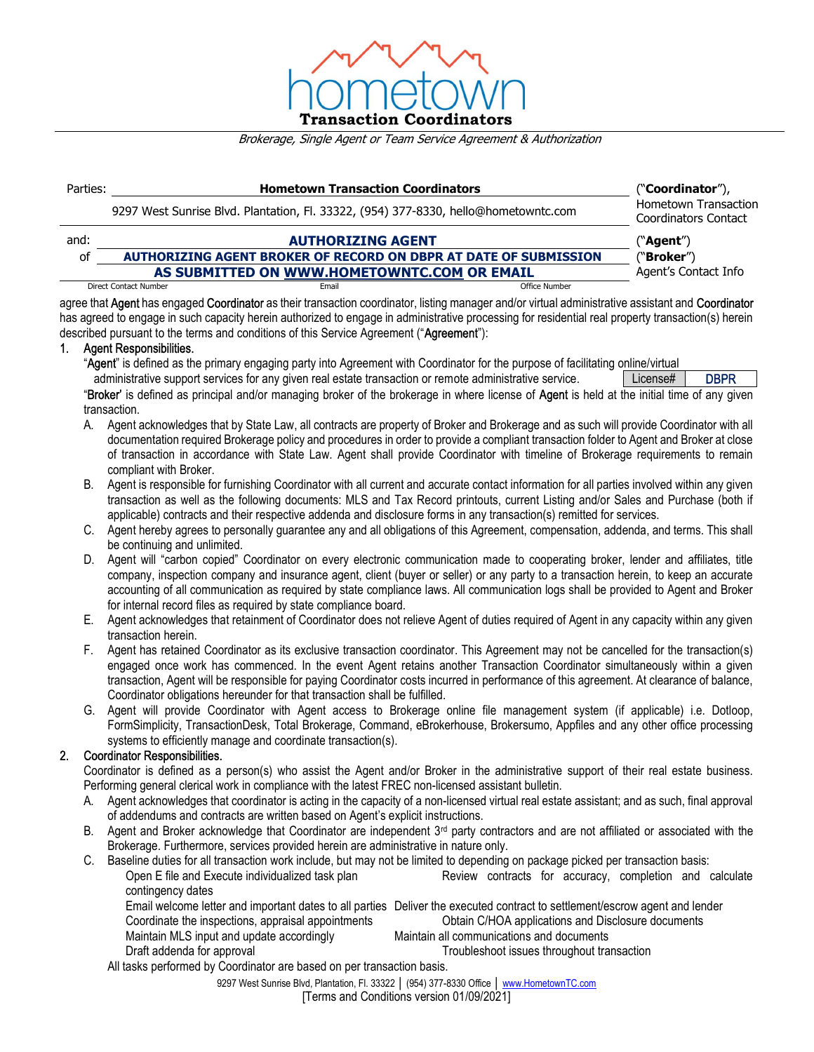

#### Brokerage, Single Agent or Team Service Agreement & Authorization

| Parties: | <b>Hometown Transaction Coordinators</b>                                            | ("Coordinator"),                             |  |
|----------|-------------------------------------------------------------------------------------|----------------------------------------------|--|
|          | 9297 West Sunrise Blvd. Plantation, Fl. 33322, (954) 377-8330, hello@hometowntc.com | Hometown Transaction<br>Coordinators Contact |  |
| and:     | <b>AUTHORIZING AGENT</b>                                                            | ("Agent")                                    |  |
| οf       | AUTHORIZING AGENT BROKER OF RECORD ON DBPR AT DATE OF SUBMISSION                    | ("Broker")                                   |  |
|          | AS SUBMITTED ON WWW.HOMETOWNTC.COM OR EMAIL                                         | Agent's Contact Info                         |  |
|          | Direct Contact Number<br>Email                                                      | Office Number                                |  |

agree that Agent has engaged Coordinator as their transaction coordinator, listing manager and/or virtual administrative assistant and Coordinator has agreed to engage in such capacity herein authorized to engage in administrative processing for residential real property transaction(s) herein described pursuant to the terms and conditions of this Service Agreement ("Agreement"):

# 1. Agent Responsibilities.

"Agent" is defined as the primary engaging party into Agreement with Coordinator for the purpose of facilitating online/virtual administrative support services for any given real estate transaction or remote administrative service. | License# | DBPR

"Broker' is defined as principal and/or managing broker of the brokerage in where license of Agent is held at the initial time of any given transaction.

- A. Agent acknowledges that by State Law, all contracts are property of Broker and Brokerage and as such will provide Coordinator with all documentation required Brokerage policy and procedures in order to provide a compliant transaction folder to Agent and Broker at close of transaction in accordance with State Law. Agent shall provide Coordinator with timeline of Brokerage requirements to remain compliant with Broker.
- B. Agent is responsible for furnishing Coordinator with all current and accurate contact information for all parties involved within any given transaction as well as the following documents: MLS and Tax Record printouts, current Listing and/or Sales and Purchase (both if applicable) contracts and their respective addenda and disclosure forms in any transaction(s) remitted for services.
- C. Agent hereby agrees to personally guarantee any and all obligations of this Agreement, compensation, addenda, and terms. This shall be continuing and unlimited.
- D. Agent will "carbon copied" Coordinator on every electronic communication made to cooperating broker, lender and affiliates, title company, inspection company and insurance agent, client (buyer or seller) or any party to a transaction herein, to keep an accurate accounting of all communication as required by state compliance laws. All communication logs shall be provided to Agent and Broker for internal record files as required by state compliance board.
- E. Agent acknowledges that retainment of Coordinator does not relieve Agent of duties required of Agent in any capacity within any given transaction herein.
- F. Agent has retained Coordinator as its exclusive transaction coordinator. This Agreement may not be cancelled for the transaction(s) engaged once work has commenced. In the event Agent retains another Transaction Coordinator simultaneously within a given transaction, Agent will be responsible for paying Coordinator costs incurred in performance of this agreement. At clearance of balance, Coordinator obligations hereunder for that transaction shall be fulfilled.
- G. Agent will provide Coordinator with Agent access to Brokerage online file management system (if applicable) i.e. Dotloop, FormSimplicity, TransactionDesk, Total Brokerage, Command, eBrokerhouse, Brokersumo, Appfiles and any other office processing systems to efficiently manage and coordinate transaction(s).

## 2. Coordinator Responsibilities.

Coordinator is defined as a person(s) who assist the Agent and/or Broker in the administrative support of their real estate business. Performing general clerical work in compliance with the latest FREC non-licensed assistant bulletin.

- A. Agent acknowledges that coordinator is acting in the capacity of a non-licensed virtual real estate assistant; and as such, final approval of addendums and contracts are written based on Agent's explicit instructions.
- B. Agent and Broker acknowledge that Coordinator are independent 3<sup>rd</sup> party contractors and are not affiliated or associated with the Brokerage. Furthermore, services provided herein are administrative in nature only.
- C. Baseline duties for all transaction work include, but may not be limited to depending on package picked per transaction basis: Open E file and Execute individualized task plan **Review** contracts for accuracy, completion and calculate contingency dates Email welcome letter and important dates to all parties Deliver the executed contract to settlement/escrow agent and lender<br>Coordinate the inspections, appraisal appointments<br>Obtain C/HOA applications and Disclosure docume Coordinate the inspections, appraisal appointments Maintain MLS input and update accordingly Maintain all communications and documents
	- Draft addenda for approval **Transaction** Troubleshoot issues throughout transaction
- - All tasks performed by Coordinator are based on per transaction basis.

9297 West Sunrise Blvd, Plantation, Fl. 33322 | (954) 377-8330 Office | www.HometownTC.com

[Terms and Conditions version 01/09/2021]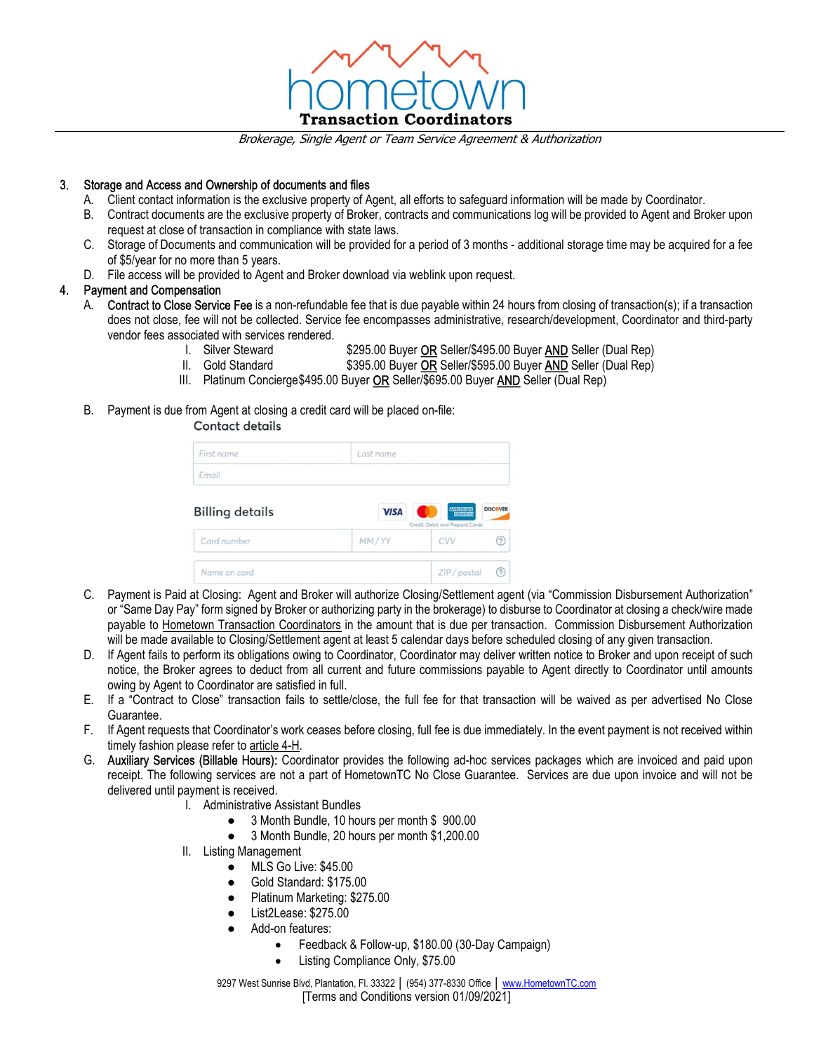

Brokerage, Single Agent or Team Service Agreement & Authorization

## 3. Storage and Access and Ownership of documents and files

- A. Client contact information is the exclusive property of Agent, all efforts to safeguard information will be made by Coordinator.
- B. Contract documents are the exclusive property of Broker, contracts and communications log will be provided to Agent and Broker upon request at close of transaction in compliance with state laws.
- C. Storage of Documents and communication will be provided for a period of 3 months additional storage time may be acquired for a fee of \$5/year for no more than 5 years.
- D. File access will be provided to Agent and Broker download via weblink upon request.

## 4. Payment and Compensation

- A. Contract to Close Service Fee is a non-refundable fee that is due payable within 24 hours from closing of transaction(s); if a transaction does not close, fee will not be collected. Service fee encompasses administrative, research/development, Coordinator and third-party vendor fees associated with services rendered.
	- \$295.00 Buyer OR Seller/\$495.00 Buyer AND Seller (Dual Rep)
	- II. Gold Standard \$395.00 Buyer OR Seller/\$595.00 Buyer AND Seller (Dual Rep)
	- III. Platinum Concierge \$495.00 Buyer OR Seller/\$695.00 Buyer AND Seller (Dual Rep)
- B. Payment is due from Agent at closing a credit card will be placed on-file:

# **Contact details**

| First name             | Last name   |                                                   |                       |
|------------------------|-------------|---------------------------------------------------|-----------------------|
| Email                  |             |                                                   |                       |
|                        |             |                                                   |                       |
| <b>Billing details</b> | <b>VISA</b> | <b>MILICAN</b><br>Credit, Debit and Prepaid Cards |                       |
| Card number            | MM/YY       | CVV                                               | <b>DISCOVER</b><br>ි) |

- C. Payment is Paid at Closing: Agent and Broker will authorize Closing/Settlement agent (via "Commission Disbursement Authorization" or "Same Day Pay" form signed by Broker or authorizing party in the brokerage) to disburse to Coordinator at closing a check/wire made payable to Hometown Transaction Coordinators in the amount that is due per transaction. Commission Disbursement Authorization will be made available to Closing/Settlement agent at least 5 calendar days before scheduled closing of any given transaction.
- D. If Agent fails to perform its obligations owing to Coordinator, Coordinator may deliver written notice to Broker and upon receipt of such notice, the Broker agrees to deduct from all current and future commissions payable to Agent directly to Coordinator until amounts owing by Agent to Coordinator are satisfied in full.
- E. If a "Contract to Close" transaction fails to settle/close, the full fee for that transaction will be waived as per advertised No Close Guarantee.
- F. If Agent requests that Coordinator's work ceases before closing, full fee is due immediately. In the event payment is not received within timely fashion please refer to article 4-H.
- G. Auxiliary Services (Billable Hours): Coordinator provides the following ad-hoc services packages which are invoiced and paid upon receipt. The following services are not a part of HometownTC No Close Guarantee. Services are due upon invoice and will not be delivered until payment is received.
	- I. Administrative Assistant Bundles
		- 3 Month Bundle, 10 hours per month \$ 900.00
		- 3 Month Bundle, 20 hours per month \$1,200.00
	- II. Listing Management
		- MLS Go Live: \$45.00
		- Gold Standard: \$175.00
		- Platinum Marketing: \$275.00
		- List2Lease: \$275.00
		- Add-on features:
			- Feedback & Follow-up, \$180.00 (30-Day Campaign)
			- Listing Compliance Only, \$75.00

9297 West Sunrise Blvd, Plantation, Fl. 33322 | (954) 377-8330 Office | www.HometownTC.com [Terms and Conditions version 01/09/2021]